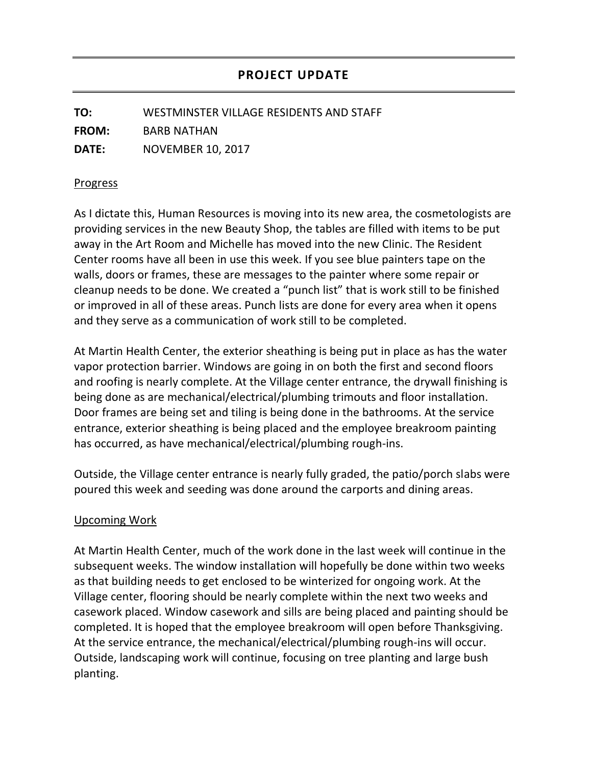**TO:** WESTMINSTER VILLAGE RESIDENTS AND STAFF **FROM:** BARB NATHAN **DATE:** NOVEMBER 10, 2017

## Progress

As I dictate this, Human Resources is moving into its new area, the cosmetologists are providing services in the new Beauty Shop, the tables are filled with items to be put away in the Art Room and Michelle has moved into the new Clinic. The Resident Center rooms have all been in use this week. If you see blue painters tape on the walls, doors or frames, these are messages to the painter where some repair or cleanup needs to be done. We created a "punch list" that is work still to be finished or improved in all of these areas. Punch lists are done for every area when it opens and they serve as a communication of work still to be completed.

At Martin Health Center, the exterior sheathing is being put in place as has the water vapor protection barrier. Windows are going in on both the first and second floors and roofing is nearly complete. At the Village center entrance, the drywall finishing is being done as are mechanical/electrical/plumbing trimouts and floor installation. Door frames are being set and tiling is being done in the bathrooms. At the service entrance, exterior sheathing is being placed and the employee breakroom painting has occurred, as have mechanical/electrical/plumbing rough-ins.

Outside, the Village center entrance is nearly fully graded, the patio/porch slabs were poured this week and seeding was done around the carports and dining areas.

## Upcoming Work

At Martin Health Center, much of the work done in the last week will continue in the subsequent weeks. The window installation will hopefully be done within two weeks as that building needs to get enclosed to be winterized for ongoing work. At the Village center, flooring should be nearly complete within the next two weeks and casework placed. Window casework and sills are being placed and painting should be completed. It is hoped that the employee breakroom will open before Thanksgiving. At the service entrance, the mechanical/electrical/plumbing rough-ins will occur. Outside, landscaping work will continue, focusing on tree planting and large bush planting.